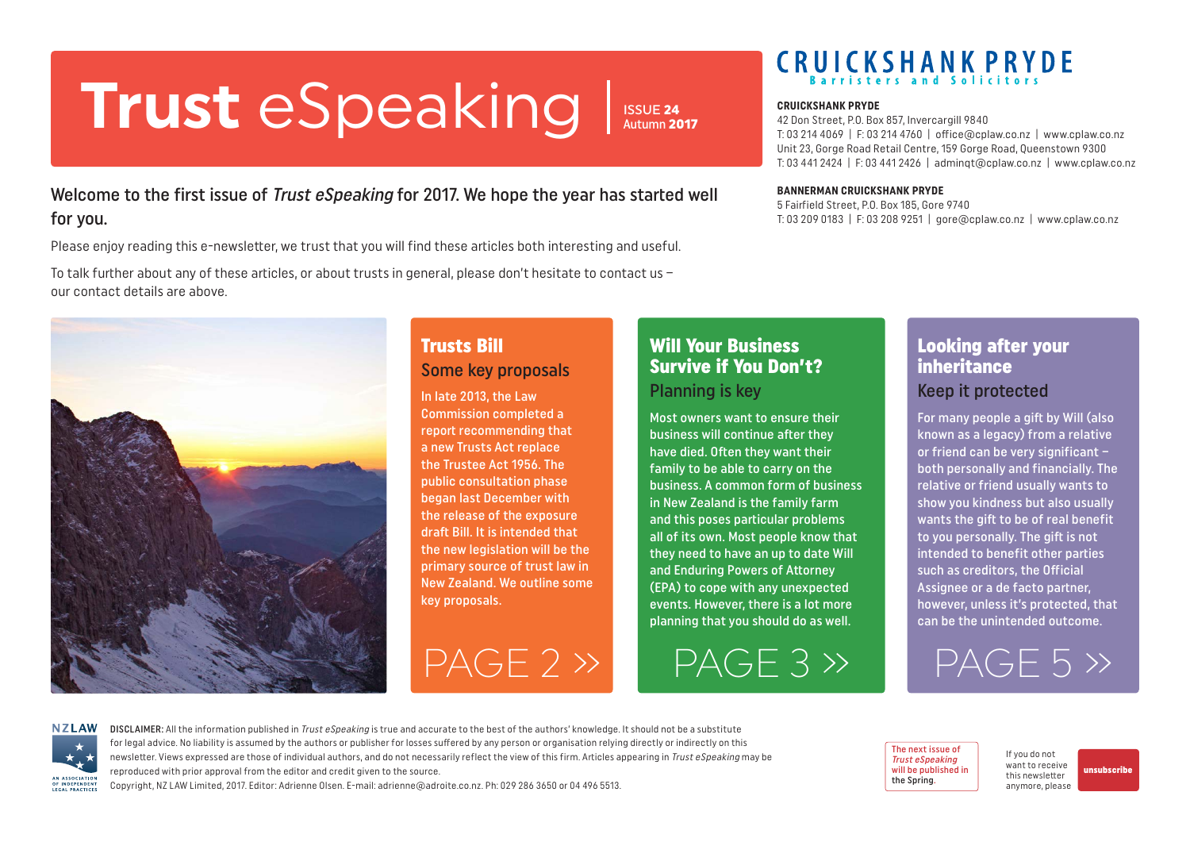# <span id="page-0-0"></span>**Trust** eSpeaking **CRUICKSHANK PRYDE**

Welcome to the first issue of *Trust eSpeaking* for 2017. We hope the year has started well for you.

Please enjoy reading this e-newsletter, we trust that you will find these articles both interesting and useful.

To talk further about any of these articles, or about trusts in general, please don't hesitate to contact us – our contact details are above.



### Trusts Bill Some key proposals

In late 2013, the Law Commission completed a report recommending that a new Trusts Act replace the Trustee Act 1956. The public consultation phase began last December with the release of the exposure draft Bill. It is intended that the new legislation will be the primary source of trust law in New Zealand. We outline some key proposals.

### Will Your Business Survive if You Don't? Planning is key

ISSUE 24 Autumn 2017

> Most owners want to ensure their business will continue after they have died. Often they want their family to be able to carry on the business. A common form of business in New Zealand is the family farm and this poses particular problems all of its own. Most people know that they need to have an up to date Will and Enduring Powers of Attorney (EPA) to cope with any unexpected events. However, there is a lot more planning that you should do as well.

[PAGE 2 »](#page-1-0) [PAGE 3 »](#page-2-0) [PAGE 5 »](#page-4-0)

# **CRUICKSHANK PRYDE**

42 Don Street, P.O. Box 857, Invercargill 9840 T: 03 214 4069 | F: 03 214 4760 | office@cplaw.co.nz | www.cplaw.co.nz Unit 23, Gorge Road Retail Centre, 159 Gorge Road, Queenstown 9300 T: 03 441 2424 | F: 03 441 2426 | adminqt@cplaw.co.nz | www.cplaw.co.nz

#### **BANNERMAN CRUICKSHANK PRYDE**

5 Fairfield Street, P.O. Box 185, Gore 9740 T: 03 209 0183 | F: 03 208 9251 | gore@cplaw.co.nz | www.cplaw.co.nz

### Looking after your inheritance Keep it protected

For many people a gift by Will (also known as a legacy) from a relative or friend can be very significant – both personally and financially. The relative or friend usually wants to show you kindness but also usually wants the gift to be of real benefit to you personally. The gift is not intended to benefit other parties such as creditors, the Official Assignee or a de facto partner, however, unless it's protected, that can be the unintended outcome.



DISCLAIMER: All the information published in Trust eSpeaking is true and accurate to the best of the authors' knowledge. It should not be a substitute for legal advice. No liability is assumed by the authors or publisher for losses suffered by any person or organisation relying directly or indirectly on this newsletter. Views expressed are those of individual authors, and do not necessarily reflect the view of this firm. Articles appearing in Trust eSpeaking may be reproduced with prior approval from the editor and credit given to the source.

Copyright, NZ LAW Limited, 2017. Editor: Adrienne Olsen. [E-mail: adrienne@adroite.co.nz.](mailto:adrienne@adroite.co.nz) Ph: 029 286 3650 or 04 496 5513.

The next issue of Trust eSpeaking will be published in the Spring.

If you do not want to receive this newsletter anymore, please [unsubscribe](mailto:adrienne%40adroite.co.nz?subject=Property%20Speaking%20-%20unsubscribe%20me%20please)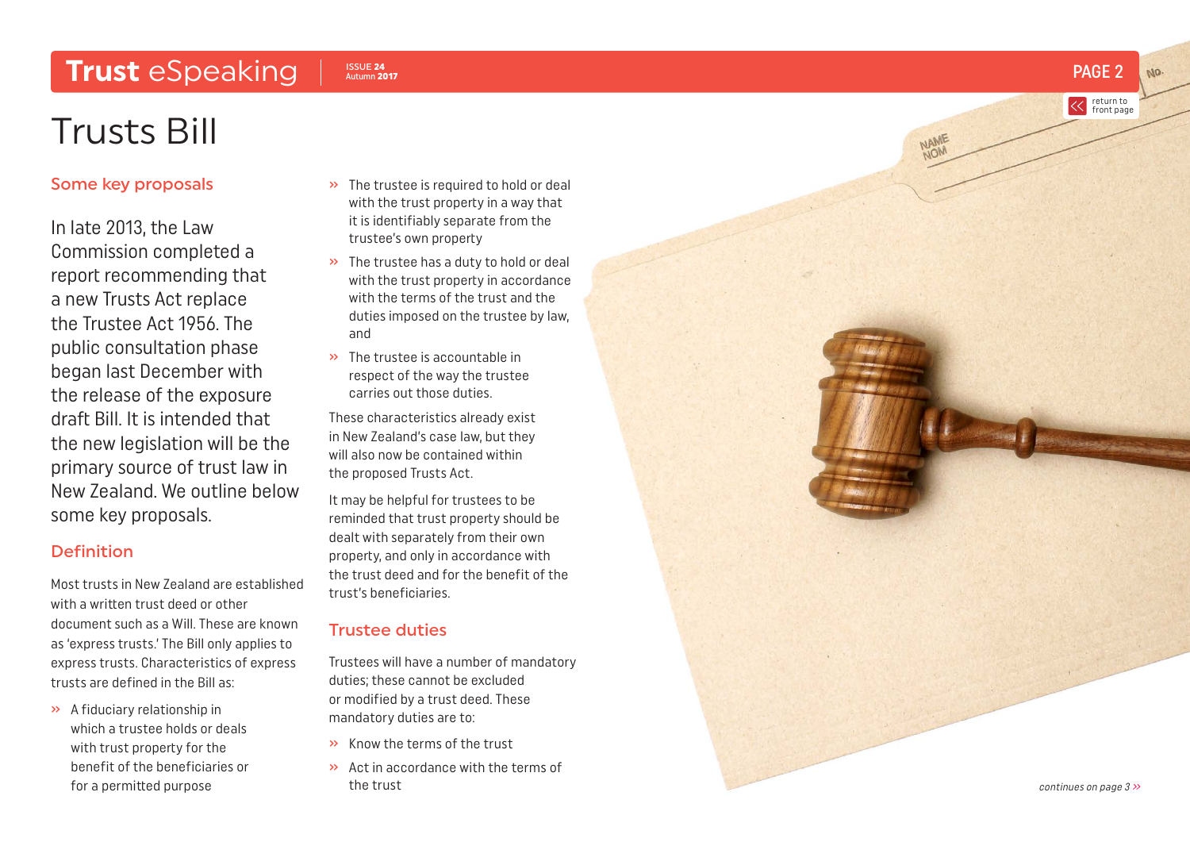# <span id="page-1-0"></span>Trust eSpeaking Issue 24

# Trusts Bill

#### Some key proposals

In late 2013, the Law Commission completed a report recommending that a new Trusts Act replace the Trustee Act 1956. The public consultation phase began last December with the release of the exposure draft Bill. It is intended that the new legislation will be the primary source of trust law in New Zealand. We outline below some key proposals.

#### Definition

Most trusts in New Zealand are established with a written trust deed or other document such as a Will. These are known as 'express trusts.' The Bill only applies to express trusts. Characteristics of express trusts are defined in the Bill as:

» A fiduciary relationship in which a trustee holds or deals with trust property for the benefit of the beneficiaries or for a permitted purpose

- » The trustee is required to hold or deal with the trust property in a way that it is identifiably separate from the trustee's own property
- » The trustee has a duty to hold or deal with the trust property in accordance with the terms of the trust and the duties imposed on the trustee by law, and
- » The trustee is accountable in respect of the way the trustee carries out those duties.

These characteristics already exist in New Zealand's case law, but they will also now be contained within the proposed Trusts Act.

It may be helpful for trustees to be reminded that trust property should be dealt with separately from their own property, and only in accordance with the trust deed and for the benefit of the trust's beneficiaries.

### Trustee duties

Trustees will have a number of mandatory duties; these cannot be excluded or modified by a trust deed. These mandatory duties are to:

- » Know the terms of the trust
- » Act in accordance with the terms of

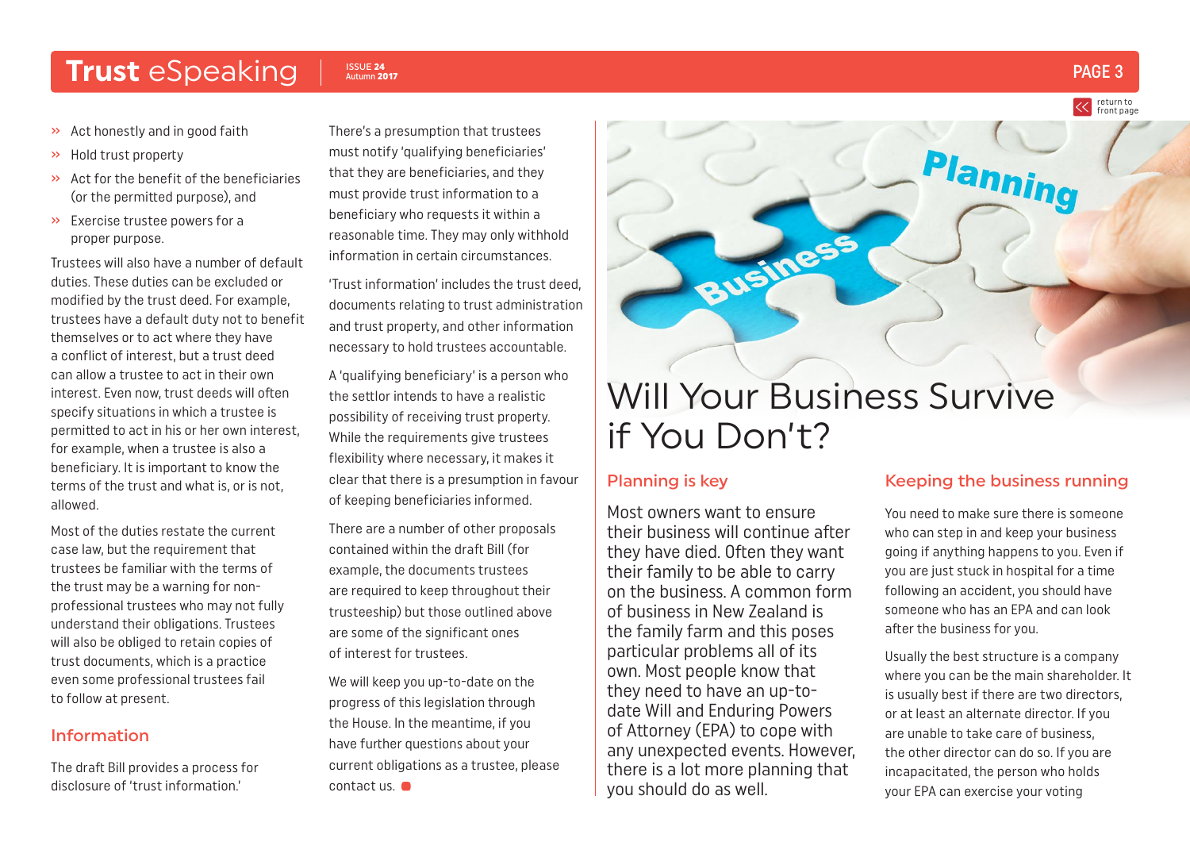## <span id="page-2-0"></span>Trust eSpeaking Insue 24

- » Act honestly and in good faith
- » Hold trust property
- » Act for the benefit of the beneficiaries (or the permitted purpose), and
- » Exercise trustee powers for a proper purpose.

Trustees will also have a number of default duties. These duties can be excluded or modified by the trust deed. For example, trustees have a default duty not to benefit themselves or to act where they have a conflict of interest, but a trust deed can allow a trustee to act in their own interest. Even now, trust deeds will often specify situations in which a trustee is permitted to act in his or her own interest, for example, when a trustee is also a beneficiary. It is important to know the terms of the trust and what is, or is not, allowed.

Most of the duties restate the current case law, but the requirement that trustees be familiar with the terms of the trust may be a warning for nonprofessional trustees who may not fully understand their obligations. Trustees will also be obliged to retain copies of trust documents, which is a practice even some professional trustees fail to follow at present.

#### Information

The draft Bill provides a process for disclosure of 'trust information.'

There's a presumption that trustees must notify 'qualifying beneficiaries' that they are beneficiaries, and they must provide trust information to a beneficiary who requests it within a reasonable time. They may only withhold information in certain circumstances.

'Trust information' includes the trust deed, documents relating to trust administration and trust property, and other information necessary to hold trustees accountable.

A 'qualifying beneficiary' is a person who the settlor intends to have a realistic possibility of receiving trust property. While the requirements give trustees flexibility where necessary, it makes it clear that there is a presumption in favour of keeping beneficiaries informed.

There are a number of other proposals contained within the draft Bill (for example, the documents trustees are required to keep throughout their trusteeship) but those outlined above are some of the significant ones of interest for trustees.

We will keep you up-to-date on the progress of this legislation through the House. In the meantime, if you have further questions about your current obligations as a trustee, please contact us.

# Will Your Business Survive if You Don't?

#### Planning is key

Most owners want to ensure their business will continue after they have died. Often they want their family to be able to carry on the business. A common form of business in New Zealand is the family farm and this poses particular problems all of its own. Most people know that they need to have an up-todate Will and Enduring Powers of Attorney (EPA) to cope with any unexpected events. However, there is a lot more planning that you should do as well.

#### Keeping the business running

You need to make sure there is someone who can step in and keep your business going if anything happens to you. Even if you are just stuck in hospital for a time following an accident, you should have someone who has an EPA and can look after the business for you.

Usually the best structure is a company where you can be the main shareholder. It is usually best if there are two directors, or at least an alternate director. If you are unable to take care of business, the other director can do so. If you are incapacitated, the person who holds your EPA can exercise your voting

ISSUE 24  $_{\text{Aut} \text{tumn}}$  2017  $\blacksquare$ 

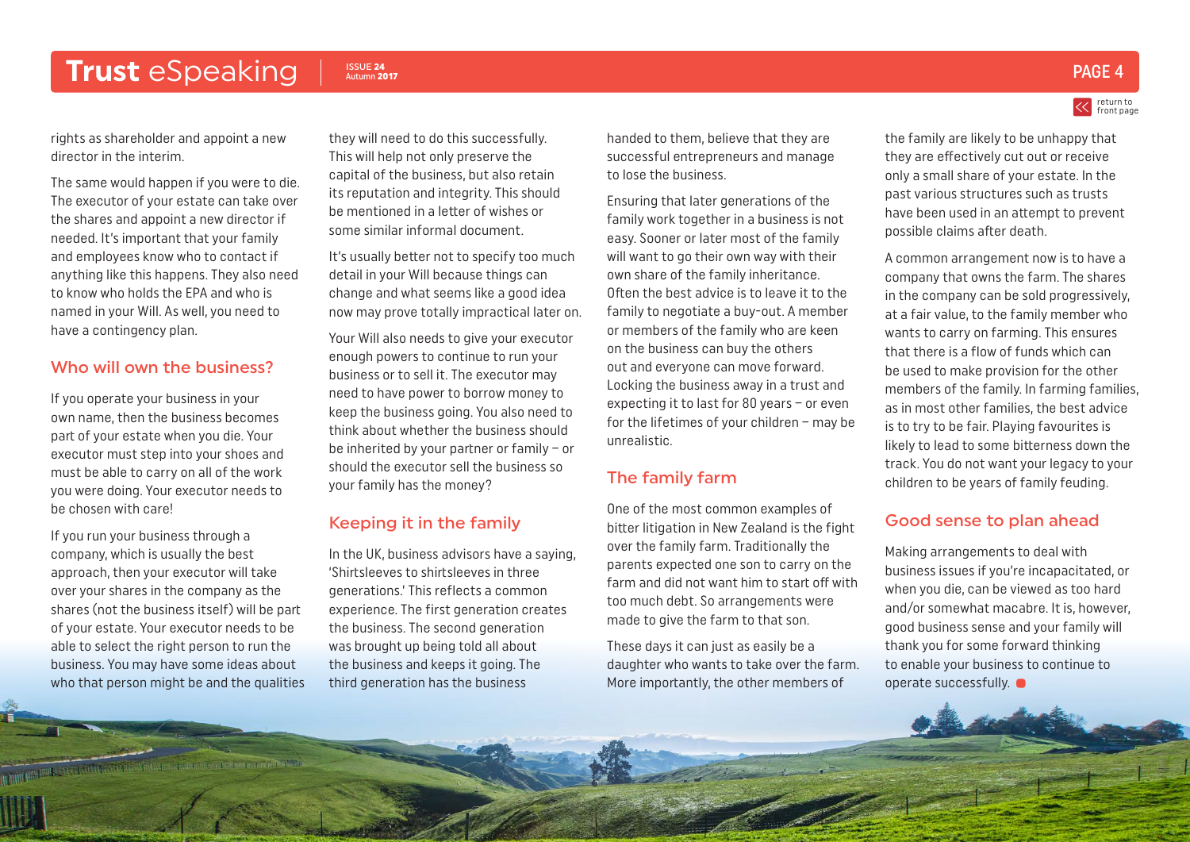## Trust eSpeaking Insue 24

rights as shareholder and appoint a new director in the interim.

The same would happen if you were to die. The executor of your estate can take over the shares and appoint a new director if needed. It's important that your family and employees know who to contact if anything like this happens. They also need to know who holds the EPA and who is named in your Will. As well, you need to have a contingency plan.

#### Who will own the business?

If you operate your business in your own name, then the business becomes part of your estate when you die. Your executor must step into your shoes and must be able to carry on all of the work you were doing. Your executor needs to be chosen with care!

If you run your business through a company, which is usually the best approach, then your executor will take over your shares in the company as the shares (not the business itself) will be part of your estate. Your executor needs to be able to select the right person to run the business. You may have some ideas about who that person might be and the qualities

**CONTRACTOR DE CONSTANTINO DE CONTRACTO DE CONTRACTO DE CONSTANTINO DE CONSTANTINO DE CONSTANTINO DE CONSTANTINO** 

they will need to do this successfully. This will help not only preserve the capital of the business, but also retain its reputation and integrity. This should be mentioned in a letter of wishes or some similar informal document.

It's usually better not to specify too much detail in your Will because things can change and what seems like a good idea now may prove totally impractical later on.

Your Will also needs to give your executor enough powers to continue to run your business or to sell it. The executor may need to have power to borrow money to keep the business going. You also need to think about whether the business should be inherited by your partner or family – or should the executor sell the business so your family has the money?

#### Keeping it in the family

In the UK, business advisors have a saying, 'Shirtsleeves to shirtsleeves in three generations.' This reflects a common experience. The first generation creates the business. The second generation was brought up being told all about the business and keeps it going. The third generation has the business

handed to them, believe that they are successful entrepreneurs and manage to lose the business.

Ensuring that later generations of the family work together in a business is not easy. Sooner or later most of the family will want to go their own way with their own share of the family inheritance. Often the best advice is to leave it to the family to negotiate a buy-out. A member or members of the family who are keen on the business can buy the others out and everyone can move forward. Locking the business away in a trust and expecting it to last for 80 years – or even for the lifetimes of your children – may be unrealistic.

#### The family farm

One of the most common examples of bitter litigation in New Zealand is the fight over the family farm. Traditionally the parents expected one son to carry on the farm and did not want him to start off with too much debt. So arrangements were made to give the farm to that son.

These days it can just as easily be a daughter who wants to take over the farm. More importantly, the other members of

## the family are likely to be unhappy that they are effectively cut out or receive only a small share of your estate. In the

past various structures such as trusts have been used in an attempt to prevent possible claims after death.

A common arrangement now is to have a company that owns the farm. The shares in the company can be sold progressively, at a fair value, to the family member who wants to carry on farming. This ensures that there is a flow of funds which can be used to make provision for the other members of the family. In farming families, as in most other families, the best advice is to try to be fair. Playing favourites is likely to lead to some bitterness down the track. You do not want your legacy to your children to be years of family feuding.

#### Good sense to plan ahead

Making arrangements to deal with business issues if you're incapacitated, or when you die, can be viewed as too hard and/or somewhat macabre. It is, however, good business sense and your family will thank you for some forward thinking to enable your business to continue to operate successfully.  $\bullet$ 

### Autumn <sup>2017</sup> PAGE 4

return to [front page](#page-0-0)